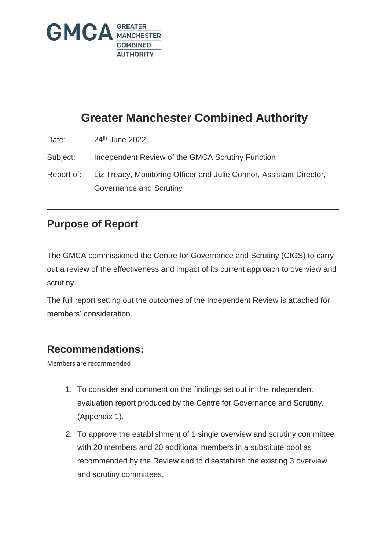

# **Greater Manchester Combined Authority**

Date: 24<sup>th</sup> June 2022

Subject: Independent Review of the GMCA Scrutiny Function

Report of: Liz Treacy, Monitoring Officer and Julie Connor, Assistant Director, Governance and Scrutiny

\_\_\_\_\_\_\_\_\_\_\_\_\_\_\_\_\_\_\_\_\_\_\_\_\_\_\_\_\_\_\_\_\_\_\_\_\_\_\_\_\_\_\_\_\_\_\_\_\_\_\_\_\_\_\_\_\_\_\_\_\_\_\_\_\_\_\_

### **Purpose of Report**

The GMCA commissioned the Centre for Governance and Scrutiny (CfGS) to carry out a review of the effectiveness and impact of its current approach to overview and scrutiny.

The full report setting out the outcomes of the Independent Review is attached for members' consideration.

### **Recommendations:**

Members are recommended

- 1. To consider and comment on the findings set out in the independent evaluation report produced by the Centre for Governance and Scrutiny. (Appendix 1).
- 2. To approve the establishment of 1 single overview and scrutiny committee with 20 members and 20 additional members in a substitute pool as recommended by the Review and to disestablish the existing 3 overview and scrutiny committees.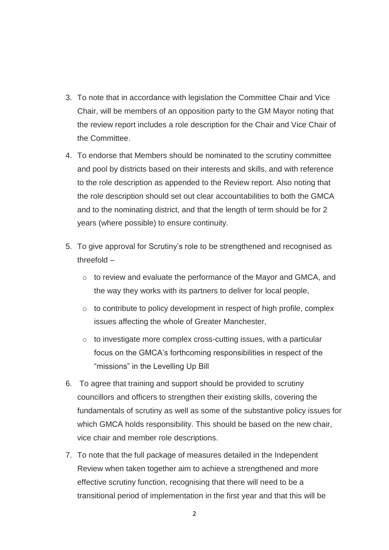- 3. To note that in accordance with legislation the Committee Chair and Vice Chair, will be members of an opposition party to the GM Mayor noting that the review report includes a role description for the Chair and Vice Chair of the Committee.
- 4. To endorse that Members should be nominated to the scrutiny committee and pool by districts based on their interests and skills, and with reference to the role description as appended to the Review report. Also noting that the role description should set out clear accountabilities to both the GMCA and to the nominating district, and that the length of term should be for 2 years (where possible) to ensure continuity.
- 5. To give approval for Scrutiny's role to be strengthened and recognised as threefold –
	- o to review and evaluate the performance of the Mayor and GMCA, and the way they works with its partners to deliver for local people,
	- $\circ$  to contribute to policy development in respect of high profile, complex issues affecting the whole of Greater Manchester,
	- o to investigate more complex cross-cutting issues, with a particular focus on the GMCA's forthcoming responsibilities in respect of the "missions" in the Levelling Up Bill
- 6. To agree that training and support should be provided to scrutiny councillors and officers to strengthen their existing skills, covering the fundamentals of scrutiny as well as some of the substantive policy issues for which GMCA holds responsibility. This should be based on the new chair, vice chair and member role descriptions.
- 7. To note that the full package of measures detailed in the Independent Review when taken together aim to achieve a strengthened and more effective scrutiny function, recognising that there will need to be a transitional period of implementation in the first year and that this will be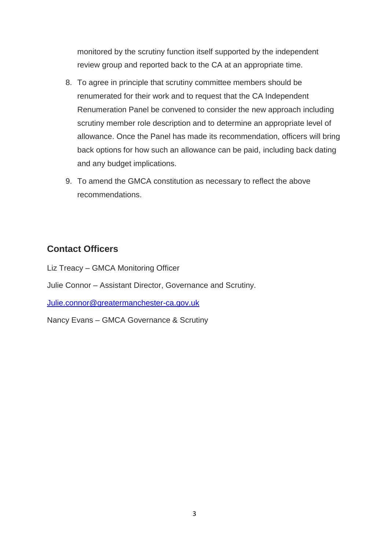monitored by the scrutiny function itself supported by the independent review group and reported back to the CA at an appropriate time.

- 8. To agree in principle that scrutiny committee members should be renumerated for their work and to request that the CA Independent Renumeration Panel be convened to consider the new approach including scrutiny member role description and to determine an appropriate level of allowance. Once the Panel has made its recommendation, officers will bring back options for how such an allowance can be paid, including back dating and any budget implications.
- 9. To amend the GMCA constitution as necessary to reflect the above recommendations.

### **Contact Officers**

Liz Treacy – GMCA Monitoring Officer

Julie Connor – Assistant Director, Governance and Scrutiny.

[Julie.connor@greatermanchester-ca.gov.uk](mailto:Julie.connor@greatermanchester-ca.gov.uk)

Nancy Evans – GMCA Governance & Scrutiny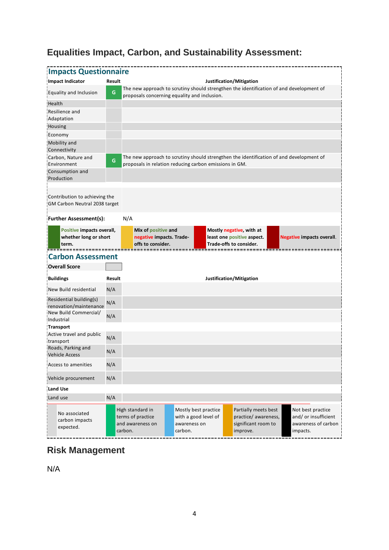# **Equalities Impact, Carbon, and Sustainability Assessment:**

| <b>Impacts Questionnaire</b>                                   |               |                                                                                                                               |                                                                      |         |                                                              |                                                                                   |  |                                                                                         |  |  |                                                                              |
|----------------------------------------------------------------|---------------|-------------------------------------------------------------------------------------------------------------------------------|----------------------------------------------------------------------|---------|--------------------------------------------------------------|-----------------------------------------------------------------------------------|--|-----------------------------------------------------------------------------------------|--|--|------------------------------------------------------------------------------|
|                                                                |               |                                                                                                                               |                                                                      |         |                                                              |                                                                                   |  |                                                                                         |  |  |                                                                              |
| Impact Indicator                                               |               | Result<br>Justification/Mitigation<br>The new approach to scrutiny should strengthen the identification of and development of |                                                                      |         |                                                              |                                                                                   |  |                                                                                         |  |  |                                                                              |
| Equality and Inclusion                                         | ${\mathsf G}$ |                                                                                                                               | proposals concerning equality and inclusion.                         |         |                                                              |                                                                                   |  |                                                                                         |  |  |                                                                              |
| Health                                                         |               |                                                                                                                               |                                                                      |         |                                                              |                                                                                   |  |                                                                                         |  |  |                                                                              |
| Resilience and<br>Adaptation                                   |               |                                                                                                                               |                                                                      |         |                                                              |                                                                                   |  |                                                                                         |  |  |                                                                              |
| Housing                                                        |               |                                                                                                                               |                                                                      |         |                                                              |                                                                                   |  |                                                                                         |  |  |                                                                              |
| Economy                                                        |               |                                                                                                                               |                                                                      |         |                                                              |                                                                                   |  |                                                                                         |  |  |                                                                              |
| Mobility and<br>Connectivity                                   |               |                                                                                                                               |                                                                      |         |                                                              |                                                                                   |  |                                                                                         |  |  |                                                                              |
| Carbon, Nature and<br>Environment                              | G             |                                                                                                                               | proposals in relation reducing carbon emissions in GM.               |         |                                                              |                                                                                   |  | The new approach to scrutiny should strengthen the identification of and development of |  |  |                                                                              |
| Consumption and<br>Production                                  |               |                                                                                                                               |                                                                      |         |                                                              |                                                                                   |  |                                                                                         |  |  |                                                                              |
| Contribution to achieving the<br>GM Carbon Neutral 2038 target |               |                                                                                                                               |                                                                      |         |                                                              |                                                                                   |  |                                                                                         |  |  |                                                                              |
| <b>Further Assessment(s):</b>                                  |               | N/A                                                                                                                           |                                                                      |         |                                                              |                                                                                   |  |                                                                                         |  |  |                                                                              |
| Positive impacts overall,<br>whether long or short<br>term.    |               |                                                                                                                               | Mix of positive and<br>negative impacts. Trade-<br>offs to consider. |         |                                                              | Mostly negative, with at<br>least one positive aspect.<br>Trade-offs to consider. |  | <b>Negative impacts overall.</b>                                                        |  |  |                                                                              |
| <b>Carbon Assessment</b>                                       |               |                                                                                                                               |                                                                      |         |                                                              |                                                                                   |  |                                                                                         |  |  |                                                                              |
| <b>Overall Score</b>                                           |               |                                                                                                                               |                                                                      |         |                                                              |                                                                                   |  |                                                                                         |  |  |                                                                              |
| <b>Buildings</b>                                               |               | Justification/Mitigation<br>Result                                                                                            |                                                                      |         |                                                              |                                                                                   |  |                                                                                         |  |  |                                                                              |
| New Build residential                                          | N/A           |                                                                                                                               |                                                                      |         |                                                              |                                                                                   |  |                                                                                         |  |  |                                                                              |
| Residential building(s)<br>renovation/maintenance              | N/A           |                                                                                                                               |                                                                      |         |                                                              |                                                                                   |  |                                                                                         |  |  |                                                                              |
| New Build Commercial/<br>Industrial                            | N/A           |                                                                                                                               |                                                                      |         |                                                              |                                                                                   |  |                                                                                         |  |  |                                                                              |
| <b>Transport</b>                                               |               |                                                                                                                               |                                                                      |         |                                                              |                                                                                   |  |                                                                                         |  |  |                                                                              |
| Active travel and public<br>transport                          | N/A           |                                                                                                                               |                                                                      |         |                                                              |                                                                                   |  |                                                                                         |  |  |                                                                              |
| Roads, Parking and<br>Vehicle Access                           | N/A           |                                                                                                                               |                                                                      |         |                                                              |                                                                                   |  |                                                                                         |  |  |                                                                              |
| Access to amenities                                            | N/A           |                                                                                                                               |                                                                      |         |                                                              |                                                                                   |  |                                                                                         |  |  |                                                                              |
| Vehicle procurement                                            | N/A           |                                                                                                                               |                                                                      |         |                                                              |                                                                                   |  |                                                                                         |  |  |                                                                              |
| Land Use                                                       |               |                                                                                                                               |                                                                      |         |                                                              |                                                                                   |  |                                                                                         |  |  |                                                                              |
| Land use                                                       | N/A           |                                                                                                                               |                                                                      |         |                                                              |                                                                                   |  |                                                                                         |  |  |                                                                              |
| No associated<br>carbon impacts<br>expected.                   |               | carbon.                                                                                                                       | High standard in<br>terms of practice<br>and awareness on            | carbon. | Mostly best practice<br>with a good level of<br>awareness on |                                                                                   |  | Partially meets best<br>practice/ awareness,<br>significant room to<br>improve.         |  |  | Not best practice<br>and/ or insufficient<br>awareness of carbon<br>impacts. |

# **Risk Management**

N/A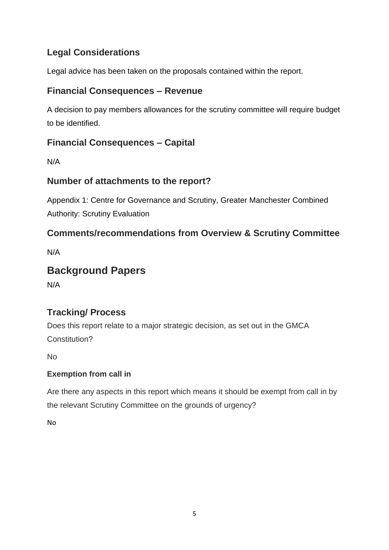### **Legal Considerations**

Legal advice has been taken on the proposals contained within the report.

### **Financial Consequences – Revenue**

A decision to pay members allowances for the scrutiny committee will require budget to be identified.

### **Financial Consequences – Capital**

N/A

### **Number of attachments to the report?**

Appendix 1: Centre for Governance and Scrutiny, Greater Manchester Combined Authority: Scrutiny Evaluation

### **Comments/recommendations from Overview & Scrutiny Committee**

N/A

# **Background Papers**

N/A

### **Tracking/ Process**

Does this report relate to a major strategic decision, as set out in the GMCA Constitution?

No

### **Exemption from call in**

Are there any aspects in this report which means it should be exempt from call in by the relevant Scrutiny Committee on the grounds of urgency?

No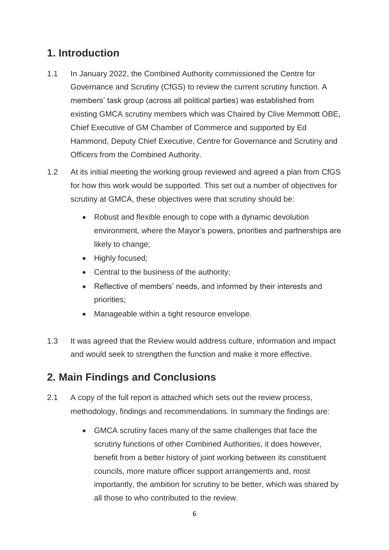### **1. Introduction**

- 1.1 In January 2022, the Combined Authority commissioned the Centre for Governance and Scrutiny (CfGS) to review the current scrutiny function. A members' task group (across all political parties) was established from existing GMCA scrutiny members which was Chaired by Clive Memmott OBE, Chief Executive of GM Chamber of Commerce and supported by Ed Hammond, Deputy Chief Executive, Centre for Governance and Scrutiny and Officers from the Combined Authority.
- 1.2 At its initial meeting the working group reviewed and agreed a plan from CfGS for how this work would be supported. This set out a number of objectives for scrutiny at GMCA, these objectives were that scrutiny should be:
	- Robust and flexible enough to cope with a dynamic devolution environment, where the Mayor's powers, priorities and partnerships are likely to change;
	- Highly focused;
	- Central to the business of the authority;
	- Reflective of members' needs, and informed by their interests and priorities;
	- Manageable within a tight resource envelope.
- 1.3 It was agreed that the Review would address culture, information and impact and would seek to strengthen the function and make it more effective.

## **2. Main Findings and Conclusions**

- 2.1 A copy of the full report is attached which sets out the review process, methodology, findings and recommendations. In summary the findings are:
	- GMCA scrutiny faces many of the same challenges that face the scrutiny functions of other Combined Authorities, it does however, benefit from a better history of joint working between its constituent councils, more mature officer support arrangements and, most importantly, the ambition for scrutiny to be better, which was shared by all those to who contributed to the review.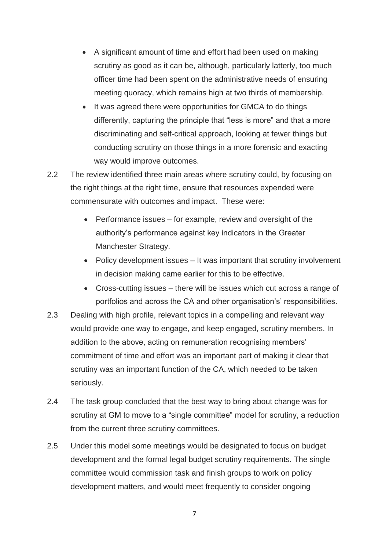- A significant amount of time and effort had been used on making scrutiny as good as it can be, although, particularly latterly, too much officer time had been spent on the administrative needs of ensuring meeting quoracy, which remains high at two thirds of membership.
- It was agreed there were opportunities for GMCA to do things differently, capturing the principle that "less is more" and that a more discriminating and self-critical approach, looking at fewer things but conducting scrutiny on those things in a more forensic and exacting way would improve outcomes.
- 2.2 The review identified three main areas where scrutiny could, by focusing on the right things at the right time, ensure that resources expended were commensurate with outcomes and impact. These were:
	- Performance issues for example, review and oversight of the authority's performance against key indicators in the Greater Manchester Strategy.
	- Policy development issues It was important that scrutiny involvement in decision making came earlier for this to be effective.
	- Cross-cutting issues there will be issues which cut across a range of portfolios and across the CA and other organisation's' responsibilities.
- 2.3 Dealing with high profile, relevant topics in a compelling and relevant way would provide one way to engage, and keep engaged, scrutiny members. In addition to the above, acting on remuneration recognising members' commitment of time and effort was an important part of making it clear that scrutiny was an important function of the CA, which needed to be taken seriously.
- 2.4 The task group concluded that the best way to bring about change was for scrutiny at GM to move to a "single committee" model for scrutiny, a reduction from the current three scrutiny committees.
- 2.5 Under this model some meetings would be designated to focus on budget development and the formal legal budget scrutiny requirements. The single committee would commission task and finish groups to work on policy development matters, and would meet frequently to consider ongoing

7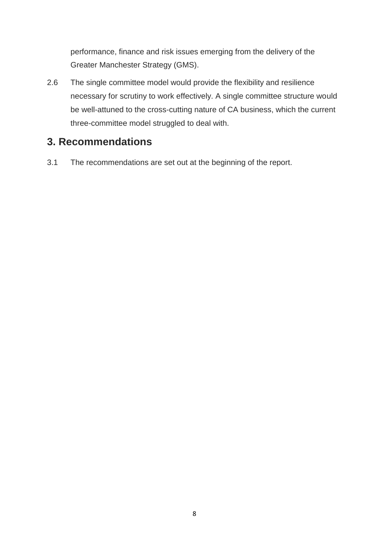performance, finance and risk issues emerging from the delivery of the Greater Manchester Strategy (GMS).

2.6 The single committee model would provide the flexibility and resilience necessary for scrutiny to work effectively. A single committee structure would be well-attuned to the cross-cutting nature of CA business, which the current three-committee model struggled to deal with.

## **3. Recommendations**

3.1 The recommendations are set out at the beginning of the report.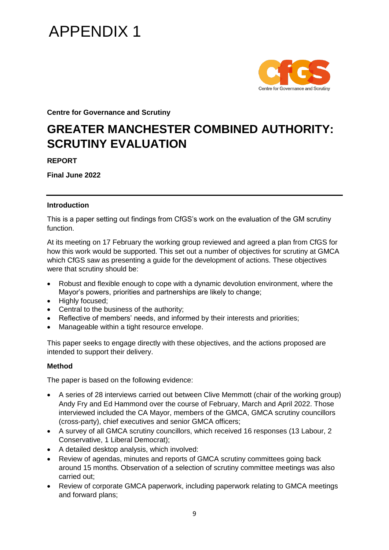# APPENDIX 1



**Centre for Governance and Scrutiny**

# **GREATER MANCHESTER COMBINED AUTHORITY: SCRUTINY EVALUATION**

**REPORT**

**Final June 2022**

#### **Introduction**

This is a paper setting out findings from CfGS's work on the evaluation of the GM scrutiny function.

At its meeting on 17 February the working group reviewed and agreed a plan from CfGS for how this work would be supported. This set out a number of objectives for scrutiny at GMCA which CfGS saw as presenting a quide for the development of actions. These objectives were that scrutiny should be:

- Robust and flexible enough to cope with a dynamic devolution environment, where the Mayor's powers, priorities and partnerships are likely to change;
- Highly focused;
- Central to the business of the authority;
- Reflective of members' needs, and informed by their interests and priorities;
- Manageable within a tight resource envelope.

This paper seeks to engage directly with these objectives, and the actions proposed are intended to support their delivery.

#### **Method**

The paper is based on the following evidence:

- A series of 28 interviews carried out between Clive Memmott (chair of the working group) Andy Fry and Ed Hammond over the course of February, March and April 2022. Those interviewed included the CA Mayor, members of the GMCA, GMCA scrutiny councillors (cross-party), chief executives and senior GMCA officers;
- A survey of all GMCA scrutiny councillors, which received 16 responses (13 Labour, 2 Conservative, 1 Liberal Democrat);
- A detailed desktop analysis, which involved:
- Review of agendas, minutes and reports of GMCA scrutiny committees going back around 15 months. Observation of a selection of scrutiny committee meetings was also carried out;
- Review of corporate GMCA paperwork, including paperwork relating to GMCA meetings and forward plans;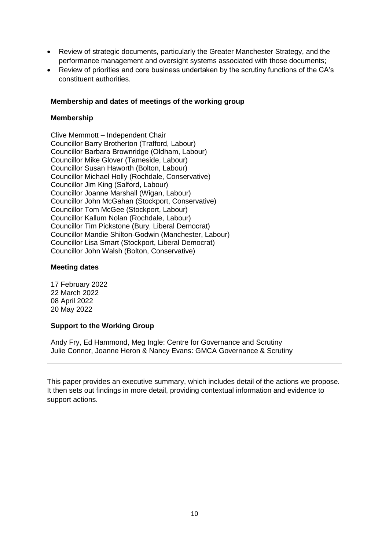- Review of strategic documents, particularly the Greater Manchester Strategy, and the performance management and oversight systems associated with those documents;
- Review of priorities and core business undertaken by the scrutiny functions of the CA's constituent authorities.

#### **Membership and dates of meetings of the working group**

#### **Membership**

Clive Memmott – Independent Chair Councillor Barry Brotherton (Trafford, Labour) Councillor Barbara Brownridge (Oldham, Labour) Councillor Mike Glover (Tameside, Labour) Councillor Susan Haworth (Bolton, Labour) Councillor Michael Holly (Rochdale, Conservative) Councillor Jim King (Salford, Labour) Councillor Joanne Marshall (Wigan, Labour) Councillor John McGahan (Stockport, Conservative) Councillor Tom McGee (Stockport, Labour) Councillor Kallum Nolan (Rochdale, Labour) Councillor Tim Pickstone (Bury, Liberal Democrat) Councillor Mandie Shilton-Godwin (Manchester, Labour) Councillor Lisa Smart (Stockport, Liberal Democrat) Councillor John Walsh (Bolton, Conservative)

#### **Meeting dates**

17 February 2022 22 March 2022 08 April 2022 20 May 2022

#### **Support to the Working Group**

Andy Fry, Ed Hammond, Meg Ingle: Centre for Governance and Scrutiny Julie Connor, Joanne Heron & Nancy Evans: GMCA Governance & Scrutiny

This paper provides an executive summary, which includes detail of the actions we propose. It then sets out findings in more detail, providing contextual information and evidence to support actions.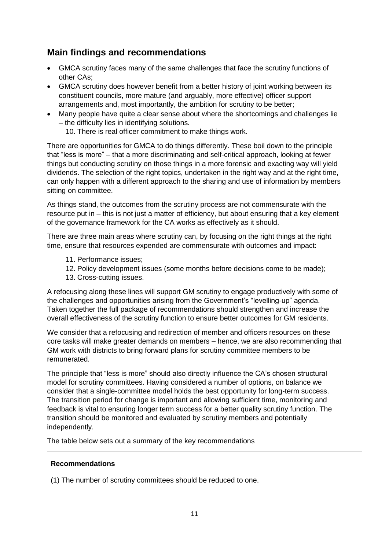### **Main findings and recommendations**

- GMCA scrutiny faces many of the same challenges that face the scrutiny functions of other CAs;
- GMCA scrutiny does however benefit from a better history of joint working between its constituent councils, more mature (and arguably, more effective) officer support arrangements and, most importantly, the ambition for scrutiny to be better;
- Many people have quite a clear sense about where the shortcomings and challenges lie – the difficulty lies in identifying solutions.
	- 10. There is real officer commitment to make things work.

There are opportunities for GMCA to do things differently. These boil down to the principle that "less is more" – that a more discriminating and self-critical approach, looking at fewer things but conducting scrutiny on those things in a more forensic and exacting way will yield dividends. The selection of the right topics, undertaken in the right way and at the right time, can only happen with a different approach to the sharing and use of information by members sitting on committee.

As things stand, the outcomes from the scrutiny process are not commensurate with the resource put in – this is not just a matter of efficiency, but about ensuring that a key element of the governance framework for the CA works as effectively as it should.

There are three main areas where scrutiny can, by focusing on the right things at the right time, ensure that resources expended are commensurate with outcomes and impact:

- 11. Performance issues;
- 12. Policy development issues (some months before decisions come to be made);
- 13. Cross-cutting issues.

A refocusing along these lines will support GM scrutiny to engage productively with some of the challenges and opportunities arising from the Government's "levelling-up" agenda. Taken together the full package of recommendations should strengthen and increase the overall effectiveness of the scrutiny function to ensure better outcomes for GM residents.

We consider that a refocusing and redirection of member and officers resources on these core tasks will make greater demands on members – hence, we are also recommending that GM work with districts to bring forward plans for scrutiny committee members to be remunerated.

The principle that "less is more" should also directly influence the CA's chosen structural model for scrutiny committees. Having considered a number of options, on balance we consider that a single-committee model holds the best opportunity for long-term success. The transition period for change is important and allowing sufficient time, monitoring and feedback is vital to ensuring longer term success for a better quality scrutiny function. The transition should be monitored and evaluated by scrutiny members and potentially independently.

The table below sets out a summary of the key recommendations

#### **Recommendations**

(1) The number of scrutiny committees should be reduced to one.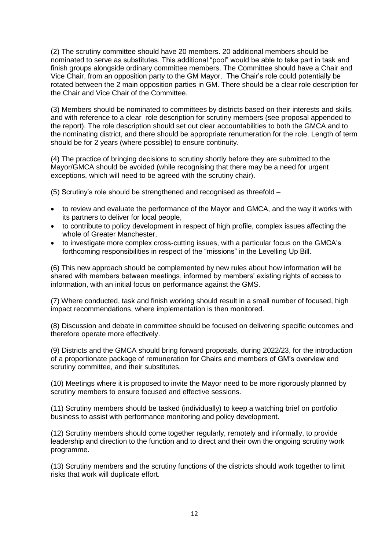(2) The scrutiny committee should have 20 members. 20 additional members should be nominated to serve as substitutes. This additional "pool" would be able to take part in task and finish groups alongside ordinary committee members. The Committee should have a Chair and Vice Chair, from an opposition party to the GM Mayor. The Chair's role could potentially be rotated between the 2 main opposition parties in GM. There should be a clear role description for the Chair and Vice Chair of the Committee.

(3) Members should be nominated to committees by districts based on their interests and skills, and with reference to a clear role description for scrutiny members (see proposal appended to the report). The role description should set out clear accountabilities to both the GMCA and to the nominating district, and there should be appropriate renumeration for the role. Length of term should be for 2 years (where possible) to ensure continuity.

(4) The practice of bringing decisions to scrutiny shortly before they are submitted to the Mayor/GMCA should be avoided (while recognising that there may be a need for urgent exceptions, which will need to be agreed with the scrutiny chair).

(5) Scrutiny's role should be strengthened and recognised as threefold –

- to review and evaluate the performance of the Mayor and GMCA, and the way it works with its partners to deliver for local people,
- to contribute to policy development in respect of high profile, complex issues affecting the whole of Greater Manchester,
- to investigate more complex cross-cutting issues, with a particular focus on the GMCA's forthcoming responsibilities in respect of the "missions" in the Levelling Up Bill.

(6) This new approach should be complemented by new rules about how information will be shared with members between meetings, informed by members' existing rights of access to information, with an initial focus on performance against the GMS.

(7) Where conducted, task and finish working should result in a small number of focused, high impact recommendations, where implementation is then monitored.

(8) Discussion and debate in committee should be focused on delivering specific outcomes and therefore operate more effectively.

(9) Districts and the GMCA should bring forward proposals, during 2022/23, for the introduction of a proportionate package of remuneration for Chairs and members of GM's overview and scrutiny committee, and their substitutes.

(10) Meetings where it is proposed to invite the Mayor need to be more rigorously planned by scrutiny members to ensure focused and effective sessions.

(11) Scrutiny members should be tasked (individually) to keep a watching brief on portfolio business to assist with performance monitoring and policy development.

(12) Scrutiny members should come together regularly, remotely and informally, to provide leadership and direction to the function and to direct and their own the ongoing scrutiny work programme.

(13) Scrutiny members and the scrutiny functions of the districts should work together to limit risks that work will duplicate effort.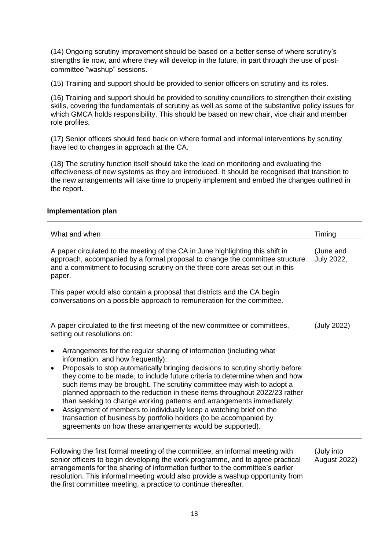(14) Ongoing scrutiny improvement should be based on a better sense of where scrutiny's strengths lie now, and where they will develop in the future, in part through the use of postcommittee "washup" sessions.

(15) Training and support should be provided to senior officers on scrutiny and its roles.

(16) Training and support should be provided to scrutiny councillors to strengthen their existing skills, covering the fundamentals of scrutiny as well as some of the substantive policy issues for which GMCA holds responsibility. This should be based on new chair, vice chair and member role profiles.

(17) Senior officers should feed back on where formal and informal interventions by scrutiny have led to changes in approach at the CA.

(18) The scrutiny function itself should take the lead on monitoring and evaluating the effectiveness of new systems as they are introduced. It should be recognised that transition to the new arrangements will take time to properly implement and embed the changes outlined in the report.

#### **Implementation plan**

| What and when                                                                                                                                                                                                                                                                                                                                                                                                                                                                                                                                                                                                                                                                                                                                           | Timing                            |
|---------------------------------------------------------------------------------------------------------------------------------------------------------------------------------------------------------------------------------------------------------------------------------------------------------------------------------------------------------------------------------------------------------------------------------------------------------------------------------------------------------------------------------------------------------------------------------------------------------------------------------------------------------------------------------------------------------------------------------------------------------|-----------------------------------|
| A paper circulated to the meeting of the CA in June highlighting this shift in<br>approach, accompanied by a formal proposal to change the committee structure<br>and a commitment to focusing scrutiny on the three core areas set out in this<br>paper.                                                                                                                                                                                                                                                                                                                                                                                                                                                                                               | (June and<br>July 2022,           |
| This paper would also contain a proposal that districts and the CA begin<br>conversations on a possible approach to remuneration for the committee.                                                                                                                                                                                                                                                                                                                                                                                                                                                                                                                                                                                                     |                                   |
| A paper circulated to the first meeting of the new committee or committees,<br>setting out resolutions on:                                                                                                                                                                                                                                                                                                                                                                                                                                                                                                                                                                                                                                              | (July 2022)                       |
| Arrangements for the regular sharing of information (including what<br>$\bullet$<br>information, and how frequently);<br>Proposals to stop automatically bringing decisions to scrutiny shortly before<br>$\bullet$<br>they come to be made, to include future criteria to determine when and how<br>such items may be brought. The scrutiny committee may wish to adopt a<br>planned approach to the reduction in these items throughout 2022/23 rather<br>than seeking to change working patterns and arrangements immediately;<br>Assignment of members to individually keep a watching brief on the<br>$\bullet$<br>transaction of business by portfolio holders (to be accompanied by<br>agreements on how these arrangements would be supported). |                                   |
| Following the first formal meeting of the committee, an informal meeting with<br>senior officers to begin developing the work programme, and to agree practical<br>arrangements for the sharing of information further to the committee's earlier<br>resolution. This informal meeting would also provide a washup opportunity from<br>the first committee meeting, a practice to continue thereafter.                                                                                                                                                                                                                                                                                                                                                  | (July into<br><b>August 2022)</b> |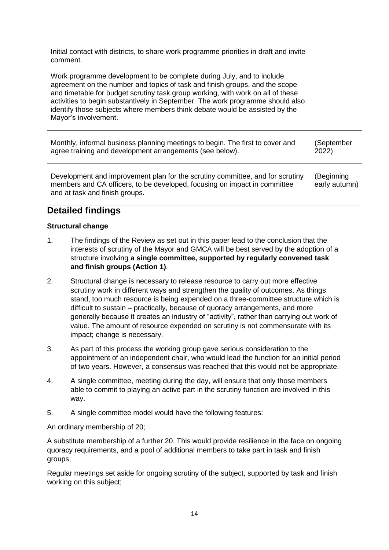Initial contact with districts, to share work programme priorities in draft and invite comment. Work programme development to be complete during July, and to include agreement on the number and topics of task and finish groups, and the scope and timetable for budget scrutiny task group working, with work on all of these activities to begin substantively in September. The work programme should also identify those subjects where members think debate would be assisted by the Mayor's involvement. Monthly, informal business planning meetings to begin. The first to cover and agree training and development arrangements (see below). (September 2022) Development and improvement plan for the scrutiny committee, and for scrutiny members and CA officers, to be developed, focusing on impact in committee and at task and finish groups. (Beginning early autumn)

### **Detailed findings**

#### **Structural change**

- 1. The findings of the Review as set out in this paper lead to the conclusion that the interests of scrutiny of the Mayor and GMCA will be best served by the adoption of a structure involving **a single committee, supported by regularly convened task and finish groups (Action 1)**.
- 2. Structural change is necessary to release resource to carry out more effective scrutiny work in different ways and strengthen the quality of outcomes. As things stand, too much resource is being expended on a three-committee structure which is difficult to sustain – practically, because of quoracy arrangements, and more generally because it creates an industry of "activity", rather than carrying out work of value. The amount of resource expended on scrutiny is not commensurate with its impact; change is necessary.
- 3. As part of this process the working group gave serious consideration to the appointment of an independent chair, who would lead the function for an initial period of two years. However, a consensus was reached that this would not be appropriate.
- 4. A single committee, meeting during the day, will ensure that only those members able to commit to playing an active part in the scrutiny function are involved in this way.
- 5. A single committee model would have the following features:

An ordinary membership of 20;

A substitute membership of a further 20. This would provide resilience in the face on ongoing quoracy requirements, and a pool of additional members to take part in task and finish groups;

Regular meetings set aside for ongoing scrutiny of the subject, supported by task and finish working on this subject;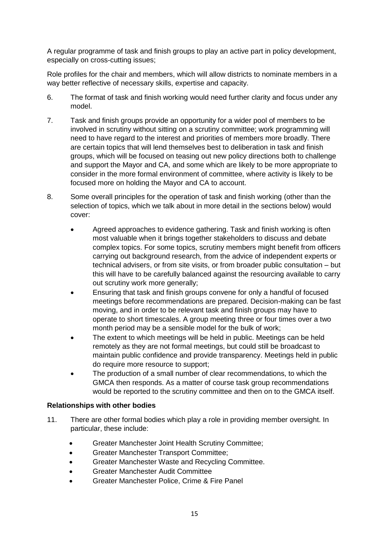A regular programme of task and finish groups to play an active part in policy development, especially on cross-cutting issues;

Role profiles for the chair and members, which will allow districts to nominate members in a way better reflective of necessary skills, expertise and capacity.

- 6. The format of task and finish working would need further clarity and focus under any model.
- 7. Task and finish groups provide an opportunity for a wider pool of members to be involved in scrutiny without sitting on a scrutiny committee; work programming will need to have regard to the interest and priorities of members more broadly. There are certain topics that will lend themselves best to deliberation in task and finish groups, which will be focused on teasing out new policy directions both to challenge and support the Mayor and CA, and some which are likely to be more appropriate to consider in the more formal environment of committee, where activity is likely to be focused more on holding the Mayor and CA to account.
- 8. Some overall principles for the operation of task and finish working (other than the selection of topics, which we talk about in more detail in the sections below) would cover:
	- Agreed approaches to evidence gathering. Task and finish working is often most valuable when it brings together stakeholders to discuss and debate complex topics. For some topics, scrutiny members might benefit from officers carrying out background research, from the advice of independent experts or technical advisers, or from site visits, or from broader public consultation – but this will have to be carefully balanced against the resourcing available to carry out scrutiny work more generally;
	- Ensuring that task and finish groups convene for only a handful of focused meetings before recommendations are prepared. Decision-making can be fast moving, and in order to be relevant task and finish groups may have to operate to short timescales. A group meeting three or four times over a two month period may be a sensible model for the bulk of work;
	- The extent to which meetings will be held in public. Meetings can be held remotely as they are not formal meetings, but could still be broadcast to maintain public confidence and provide transparency. Meetings held in public do require more resource to support;
	- The production of a small number of clear recommendations, to which the GMCA then responds. As a matter of course task group recommendations would be reported to the scrutiny committee and then on to the GMCA itself.

#### **Relationships with other bodies**

- 11. There are other formal bodies which play a role in providing member oversight. In particular, these include:
	- Greater Manchester Joint Health Scrutiny Committee;
	- Greater Manchester Transport Committee;
	- Greater Manchester Waste and Recycling Committee.
	- Greater Manchester Audit Committee
	- Greater Manchester Police, Crime & Fire Panel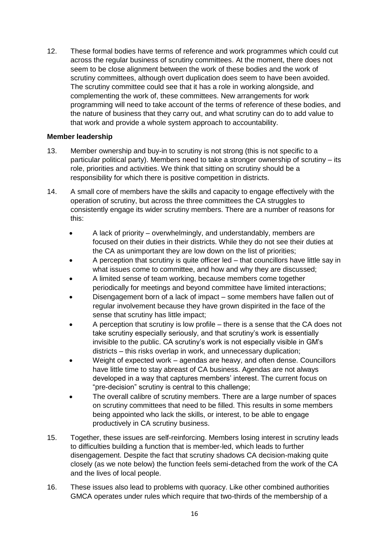12. These formal bodies have terms of reference and work programmes which could cut across the regular business of scrutiny committees. At the moment, there does not seem to be close alignment between the work of these bodies and the work of scrutiny committees, although overt duplication does seem to have been avoided. The scrutiny committee could see that it has a role in working alongside, and complementing the work of, these committees. New arrangements for work programming will need to take account of the terms of reference of these bodies, and the nature of business that they carry out, and what scrutiny can do to add value to that work and provide a whole system approach to accountability.

#### **Member leadership**

- 13. Member ownership and buy-in to scrutiny is not strong (this is not specific to a particular political party). Members need to take a stronger ownership of scrutiny – its role, priorities and activities. We think that sitting on scrutiny should be a responsibility for which there is positive competition in districts.
- 14. A small core of members have the skills and capacity to engage effectively with the operation of scrutiny, but across the three committees the CA struggles to consistently engage its wider scrutiny members. There are a number of reasons for this:
	- A lack of priority overwhelmingly, and understandably, members are focused on their duties in their districts. While they do not see their duties at the CA as unimportant they are low down on the list of priorities;
	- A perception that scrutiny is quite officer led that councillors have little say in what issues come to committee, and how and why they are discussed;
	- A limited sense of team working, because members come together periodically for meetings and beyond committee have limited interactions;
	- Disengagement born of a lack of impact some members have fallen out of regular involvement because they have grown dispirited in the face of the sense that scrutiny has little impact;
	- A perception that scrutiny is low profile there is a sense that the CA does not take scrutiny especially seriously, and that scrutiny's work is essentially invisible to the public. CA scrutiny's work is not especially visible in GM's districts – this risks overlap in work, and unnecessary duplication;
	- Weight of expected work agendas are heavy, and often dense. Councillors have little time to stay abreast of CA business. Agendas are not always developed in a way that captures members' interest. The current focus on "pre-decision" scrutiny is central to this challenge;
	- The overall calibre of scrutiny members. There are a large number of spaces on scrutiny committees that need to be filled. This results in some members being appointed who lack the skills, or interest, to be able to engage productively in CA scrutiny business.
- 15. Together, these issues are self-reinforcing. Members losing interest in scrutiny leads to difficulties building a function that is member-led, which leads to further disengagement. Despite the fact that scrutiny shadows CA decision-making quite closely (as we note below) the function feels semi-detached from the work of the CA and the lives of local people.
- 16. These issues also lead to problems with quoracy. Like other combined authorities GMCA operates under rules which require that two-thirds of the membership of a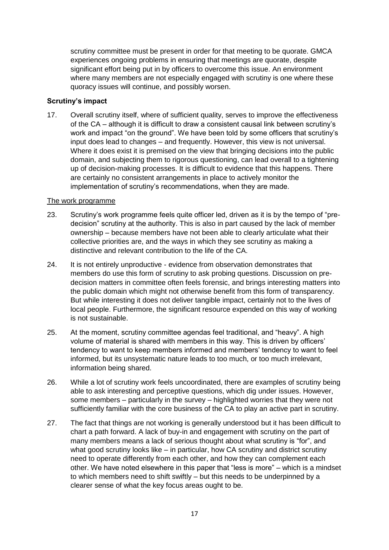scrutiny committee must be present in order for that meeting to be quorate. GMCA experiences ongoing problems in ensuring that meetings are quorate, despite significant effort being put in by officers to overcome this issue. An environment where many members are not especially engaged with scrutiny is one where these quoracy issues will continue, and possibly worsen.

#### **Scrutiny's impact**

17. Overall scrutiny itself, where of sufficient quality, serves to improve the effectiveness of the CA – although it is difficult to draw a consistent causal link between scrutiny's work and impact "on the ground". We have been told by some officers that scrutiny's input does lead to changes – and frequently. However, this view is not universal. Where it does exist it is premised on the view that bringing decisions into the public domain, and subjecting them to rigorous questioning, can lead overall to a tightening up of decision-making processes. It is difficult to evidence that this happens. There are certainly no consistent arrangements in place to actively monitor the implementation of scrutiny's recommendations, when they are made.

#### The work programme

- 23. Scrutiny's work programme feels quite officer led, driven as it is by the tempo of "predecision" scrutiny at the authority. This is also in part caused by the lack of member ownership – because members have not been able to clearly articulate what their collective priorities are, and the ways in which they see scrutiny as making a distinctive and relevant contribution to the life of the CA.
- 24. It is not entirely unproductive evidence from observation demonstrates that members do use this form of scrutiny to ask probing questions. Discussion on predecision matters in committee often feels forensic, and brings interesting matters into the public domain which might not otherwise benefit from this form of transparency. But while interesting it does not deliver tangible impact, certainly not to the lives of local people. Furthermore, the significant resource expended on this way of working is not sustainable.
- 25. At the moment, scrutiny committee agendas feel traditional, and "heavy". A high volume of material is shared with members in this way. This is driven by officers' tendency to want to keep members informed and members' tendency to want to feel informed, but its unsystematic nature leads to too much, or too much irrelevant, information being shared.
- 26. While a lot of scrutiny work feels uncoordinated, there are examples of scrutiny being able to ask interesting and perceptive questions, which dig under issues. However, some members – particularly in the survey – highlighted worries that they were not sufficiently familiar with the core business of the CA to play an active part in scrutiny.
- 27. The fact that things are not working is generally understood but it has been difficult to chart a path forward. A lack of buy-in and engagement with scrutiny on the part of many members means a lack of serious thought about what scrutiny is "for", and what good scrutiny looks like – in particular, how CA scrutiny and district scrutiny need to operate differently from each other, and how they can complement each other. We have noted elsewhere in this paper that "less is more" – which is a mindset to which members need to shift swiftly – but this needs to be underpinned by a clearer sense of what the key focus areas ought to be.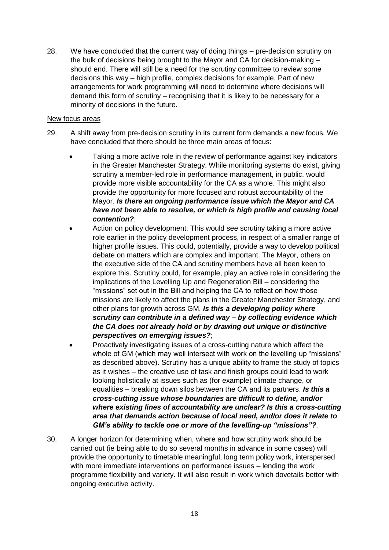28. We have concluded that the current way of doing things – pre-decision scrutiny on the bulk of decisions being brought to the Mayor and CA for decision-making – should end. There will still be a need for the scrutiny committee to review some decisions this way – high profile, complex decisions for example. Part of new arrangements for work programming will need to determine where decisions will demand this form of scrutiny – recognising that it is likely to be necessary for a minority of decisions in the future.

#### New focus areas

- 29. A shift away from pre-decision scrutiny in its current form demands a new focus. We have concluded that there should be three main areas of focus:
	- Taking a more active role in the review of performance against key indicators in the Greater Manchester Strategy. While monitoring systems do exist, giving scrutiny a member-led role in performance management, in public, would provide more visible accountability for the CA as a whole. This might also provide the opportunity for more focused and robust accountability of the Mayor. *Is there an ongoing performance issue which the Mayor and CA have not been able to resolve, or which is high profile and causing local contention?*;
	- Action on policy development. This would see scrutiny taking a more active role earlier in the policy development process, in respect of a smaller range of higher profile issues. This could, potentially, provide a way to develop political debate on matters which are complex and important. The Mayor, others on the executive side of the CA and scrutiny members have all been keen to explore this. Scrutiny could, for example, play an active role in considering the implications of the Levelling Up and Regeneration Bill – considering the "missions" set out in the Bill and helping the CA to reflect on how those missions are likely to affect the plans in the Greater Manchester Strategy, and other plans for growth across GM. *Is this a developing policy where scrutiny can contribute in a defined way – by collecting evidence which the CA does not already hold or by drawing out unique or distinctive perspectives on emerging issues?*;
	- Proactively investigating issues of a cross-cutting nature which affect the whole of GM (which may well intersect with work on the levelling up "missions" as described above). Scrutiny has a unique ability to frame the study of topics as it wishes – the creative use of task and finish groups could lead to work looking holistically at issues such as (for example) climate change, or equalities – breaking down silos between the CA and its partners. *Is this a cross-cutting issue whose boundaries are difficult to define, and/or where existing lines of accountability are unclear? Is this a cross-cutting area that demands action because of local need, and/or does it relate to GM's ability to tackle one or more of the levelling-up "missions"?*.
- 30. A longer horizon for determining when, where and how scrutiny work should be carried out (ie being able to do so several months in advance in some cases) will provide the opportunity to timetable meaningful, long term policy work, interspersed with more immediate interventions on performance issues – lending the work programme flexibility and variety. It will also result in work which dovetails better with ongoing executive activity.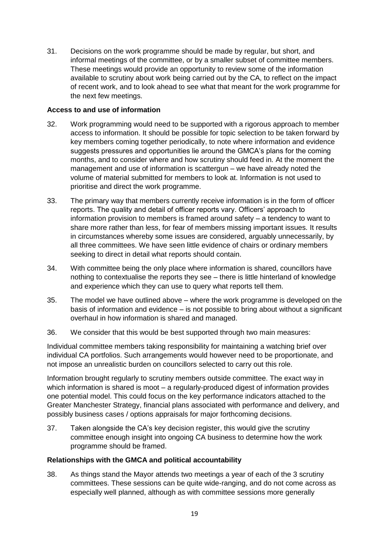31. Decisions on the work programme should be made by regular, but short, and informal meetings of the committee, or by a smaller subset of committee members. These meetings would provide an opportunity to review some of the information available to scrutiny about work being carried out by the CA, to reflect on the impact of recent work, and to look ahead to see what that meant for the work programme for the next few meetings.

#### **Access to and use of information**

- 32. Work programming would need to be supported with a rigorous approach to member access to information. It should be possible for topic selection to be taken forward by key members coming together periodically, to note where information and evidence suggests pressures and opportunities lie around the GMCA's plans for the coming months, and to consider where and how scrutiny should feed in. At the moment the management and use of information is scattergun – we have already noted the volume of material submitted for members to look at. Information is not used to prioritise and direct the work programme.
- 33. The primary way that members currently receive information is in the form of officer reports. The quality and detail of officer reports vary. Officers' approach to information provision to members is framed around safety – a tendency to want to share more rather than less, for fear of members missing important issues. It results in circumstances whereby some issues are considered, arguably unnecessarily, by all three committees. We have seen little evidence of chairs or ordinary members seeking to direct in detail what reports should contain.
- 34. With committee being the only place where information is shared, councillors have nothing to contextualise the reports they see – there is little hinterland of knowledge and experience which they can use to query what reports tell them.
- 35. The model we have outlined above where the work programme is developed on the basis of information and evidence – is not possible to bring about without a significant overhaul in how information is shared and managed.
- 36. We consider that this would be best supported through two main measures:

Individual committee members taking responsibility for maintaining a watching brief over individual CA portfolios. Such arrangements would however need to be proportionate, and not impose an unrealistic burden on councillors selected to carry out this role.

Information brought regularly to scrutiny members outside committee. The exact way in which information is shared is moot – a regularly-produced digest of information provides one potential model. This could focus on the key performance indicators attached to the Greater Manchester Strategy, financial plans associated with performance and delivery, and possibly business cases / options appraisals for major forthcoming decisions.

37. Taken alongside the CA's key decision register, this would give the scrutiny committee enough insight into ongoing CA business to determine how the work programme should be framed.

#### **Relationships with the GMCA and political accountability**

38. As things stand the Mayor attends two meetings a year of each of the 3 scrutiny committees. These sessions can be quite wide-ranging, and do not come across as especially well planned, although as with committee sessions more generally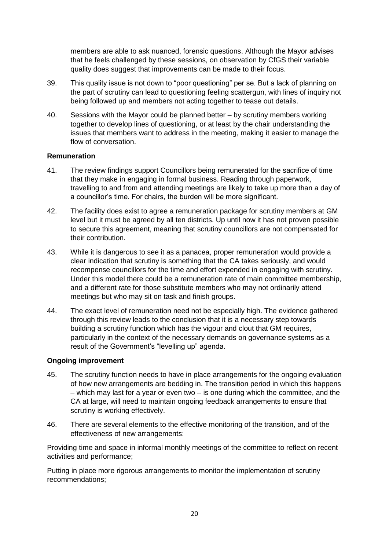members are able to ask nuanced, forensic questions. Although the Mayor advises that he feels challenged by these sessions, on observation by CfGS their variable quality does suggest that improvements can be made to their focus.

- 39. This quality issue is not down to "poor questioning" per se. But a lack of planning on the part of scrutiny can lead to questioning feeling scattergun, with lines of inquiry not being followed up and members not acting together to tease out details.
- 40. Sessions with the Mayor could be planned better by scrutiny members working together to develop lines of questioning, or at least by the chair understanding the issues that members want to address in the meeting, making it easier to manage the flow of conversation.

#### **Remuneration**

- 41. The review findings support Councillors being remunerated for the sacrifice of time that they make in engaging in formal business. Reading through paperwork, travelling to and from and attending meetings are likely to take up more than a day of a councillor's time. For chairs, the burden will be more significant.
- 42. The facility does exist to agree a remuneration package for scrutiny members at GM level but it must be agreed by all ten districts. Up until now it has not proven possible to secure this agreement, meaning that scrutiny councillors are not compensated for their contribution.
- 43. While it is dangerous to see it as a panacea, proper remuneration would provide a clear indication that scrutiny is something that the CA takes seriously, and would recompense councillors for the time and effort expended in engaging with scrutiny. Under this model there could be a remuneration rate of main committee membership, and a different rate for those substitute members who may not ordinarily attend meetings but who may sit on task and finish groups.
- 44. The exact level of remuneration need not be especially high. The evidence gathered through this review leads to the conclusion that it is a necessary step towards building a scrutiny function which has the vigour and clout that GM requires, particularly in the context of the necessary demands on governance systems as a result of the Government's "levelling up" agenda.

#### **Ongoing improvement**

- 45. The scrutiny function needs to have in place arrangements for the ongoing evaluation of how new arrangements are bedding in. The transition period in which this happens – which may last for a year or even two – is one during which the committee, and the CA at large, will need to maintain ongoing feedback arrangements to ensure that scrutiny is working effectively.
- 46. There are several elements to the effective monitoring of the transition, and of the effectiveness of new arrangements:

Providing time and space in informal monthly meetings of the committee to reflect on recent activities and performance;

Putting in place more rigorous arrangements to monitor the implementation of scrutiny recommendations;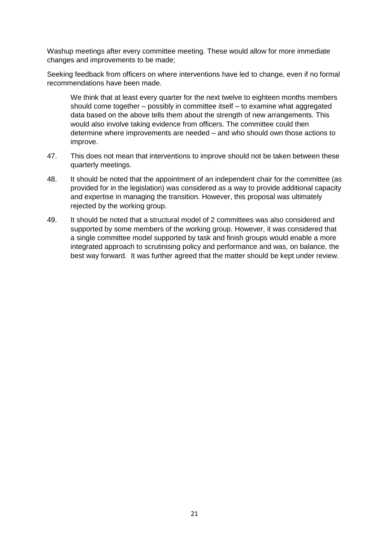Washup meetings after every committee meeting. These would allow for more immediate changes and improvements to be made;

Seeking feedback from officers on where interventions have led to change, even if no formal recommendations have been made.

We think that at least every quarter for the next twelve to eighteen months members should come together – possibly in committee itself – to examine what aggregated data based on the above tells them about the strength of new arrangements. This would also involve taking evidence from officers. The committee could then determine where improvements are needed – and who should own those actions to improve.

- 47. This does not mean that interventions to improve should not be taken between these quarterly meetings.
- 48. It should be noted that the appointment of an independent chair for the committee (as provided for in the legislation) was considered as a way to provide additional capacity and expertise in managing the transition. However, this proposal was ultimately rejected by the working group.
- 49. It should be noted that a structural model of 2 committees was also considered and supported by some members of the working group. However, it was considered that a single committee model supported by task and finish groups would enable a more integrated approach to scrutinising policy and performance and was, on balance, the best way forward. It was further agreed that the matter should be kept under review.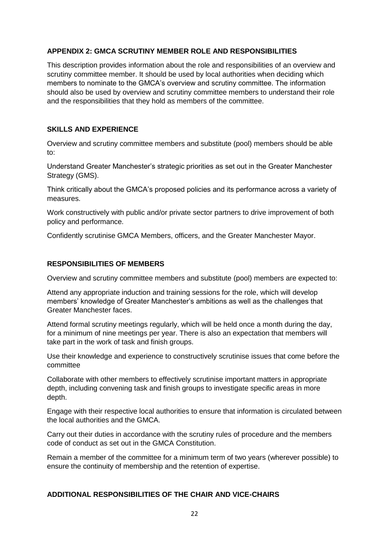#### **APPENDIX 2: GMCA SCRUTINY MEMBER ROLE AND RESPONSIBILITIES**

This description provides information about the role and responsibilities of an overview and scrutiny committee member. It should be used by local authorities when deciding which members to nominate to the GMCA's overview and scrutiny committee. The information should also be used by overview and scrutiny committee members to understand their role and the responsibilities that they hold as members of the committee.

#### **SKILLS AND EXPERIENCE**

Overview and scrutiny committee members and substitute (pool) members should be able to:

Understand Greater Manchester's strategic priorities as set out in the Greater Manchester Strategy (GMS).

Think critically about the GMCA's proposed policies and its performance across a variety of measures.

Work constructively with public and/or private sector partners to drive improvement of both policy and performance.

Confidently scrutinise GMCA Members, officers, and the Greater Manchester Mayor.

#### **RESPONSIBILITIES OF MEMBERS**

Overview and scrutiny committee members and substitute (pool) members are expected to:

Attend any appropriate induction and training sessions for the role, which will develop members' knowledge of Greater Manchester's ambitions as well as the challenges that Greater Manchester faces.

Attend formal scrutiny meetings regularly, which will be held once a month during the day, for a minimum of nine meetings per year. There is also an expectation that members will take part in the work of task and finish groups.

Use their knowledge and experience to constructively scrutinise issues that come before the committee

Collaborate with other members to effectively scrutinise important matters in appropriate depth, including convening task and finish groups to investigate specific areas in more depth.

Engage with their respective local authorities to ensure that information is circulated between the local authorities and the GMCA.

Carry out their duties in accordance with the scrutiny rules of procedure and the members code of conduct as set out in the GMCA Constitution.

Remain a member of the committee for a minimum term of two years (wherever possible) to ensure the continuity of membership and the retention of expertise.

#### **ADDITIONAL RESPONSIBILITIES OF THE CHAIR AND VICE-CHAIRS**